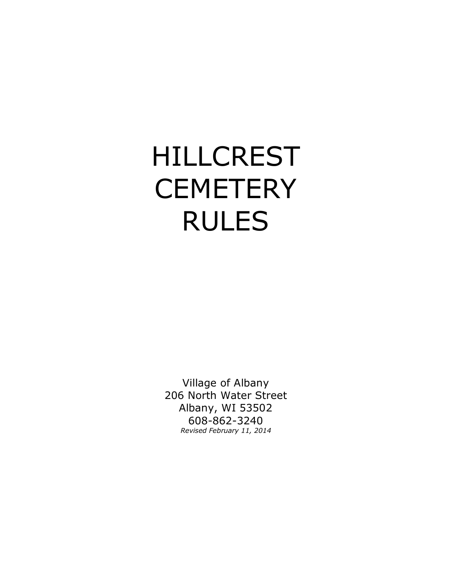# HILLCREST **CEMETERY** RULES

Village of Albany 206 North Water Street Albany, WI 53502 608-862-3240 *Revised February 11, 2014*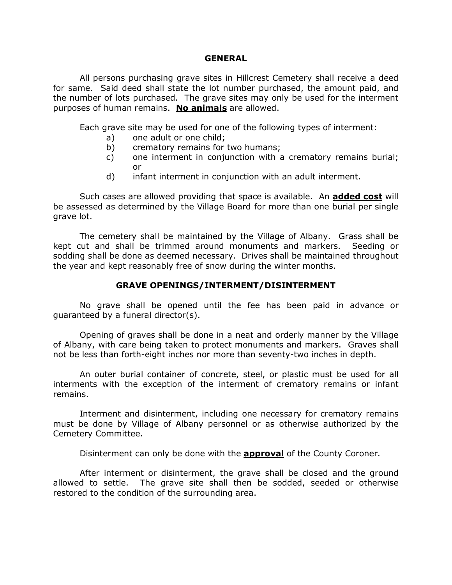#### **GENERAL**

All persons purchasing grave sites in Hillcrest Cemetery shall receive a deed for same. Said deed shall state the lot number purchased, the amount paid, and the number of lots purchased. The grave sites may only be used for the interment purposes of human remains. **No animals** are allowed.

Each grave site may be used for one of the following types of interment:

- a) one adult or one child;
- b) crematory remains for two humans;
- c) one interment in conjunction with a crematory remains burial; or
- d) infant interment in conjunction with an adult interment.

Such cases are allowed providing that space is available. An **added cost** will be assessed as determined by the Village Board for more than one burial per single grave lot.

The cemetery shall be maintained by the Village of Albany. Grass shall be kept cut and shall be trimmed around monuments and markers. Seeding or sodding shall be done as deemed necessary. Drives shall be maintained throughout the year and kept reasonably free of snow during the winter months.

### **GRAVE OPENINGS/INTERMENT/DISINTERMENT**

No grave shall be opened until the fee has been paid in advance or guaranteed by a funeral director(s).

Opening of graves shall be done in a neat and orderly manner by the Village of Albany, with care being taken to protect monuments and markers. Graves shall not be less than forth-eight inches nor more than seventy-two inches in depth.

An outer burial container of concrete, steel, or plastic must be used for all interments with the exception of the interment of crematory remains or infant remains.

Interment and disinterment, including one necessary for crematory remains must be done by Village of Albany personnel or as otherwise authorized by the Cemetery Committee.

Disinterment can only be done with the **approval** of the County Coroner.

After interment or disinterment, the grave shall be closed and the ground allowed to settle. The grave site shall then be sodded, seeded or otherwise restored to the condition of the surrounding area.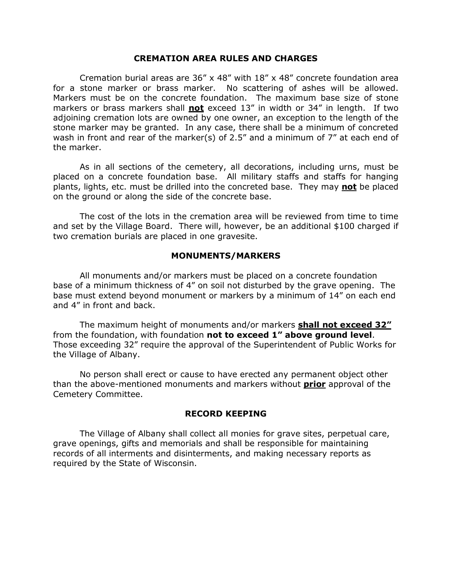#### **CREMATION AREA RULES AND CHARGES**

Cremation burial areas are  $36'' \times 48''$  with  $18'' \times 48''$  concrete foundation area for a stone marker or brass marker. No scattering of ashes will be allowed. Markers must be on the concrete foundation. The maximum base size of stone markers or brass markers shall **not** exceed 13" in width or 34" in length. If two adjoining cremation lots are owned by one owner, an exception to the length of the stone marker may be granted. In any case, there shall be a minimum of concreted wash in front and rear of the marker(s) of 2.5" and a minimum of 7" at each end of the marker.

As in all sections of the cemetery, all decorations, including urns, must be placed on a concrete foundation base. All military staffs and staffs for hanging plants, lights, etc. must be drilled into the concreted base. They may **not** be placed on the ground or along the side of the concrete base.

The cost of the lots in the cremation area will be reviewed from time to time and set by the Village Board. There will, however, be an additional \$100 charged if two cremation burials are placed in one gravesite.

#### **MONUMENTS/MARKERS**

All monuments and/or markers must be placed on a concrete foundation base of a minimum thickness of 4" on soil not disturbed by the grave opening. The base must extend beyond monument or markers by a minimum of 14" on each end and 4" in front and back.

The maximum height of monuments and/or markers **shall not exceed 32"** from the foundation, with foundation **not to exceed 1" above ground level**. Those exceeding 32" require the approval of the Superintendent of Public Works for the Village of Albany.

No person shall erect or cause to have erected any permanent object other than the above-mentioned monuments and markers without **prior** approval of the Cemetery Committee.

#### **RECORD KEEPING**

The Village of Albany shall collect all monies for grave sites, perpetual care, grave openings, gifts and memorials and shall be responsible for maintaining records of all interments and disinterments, and making necessary reports as required by the State of Wisconsin.